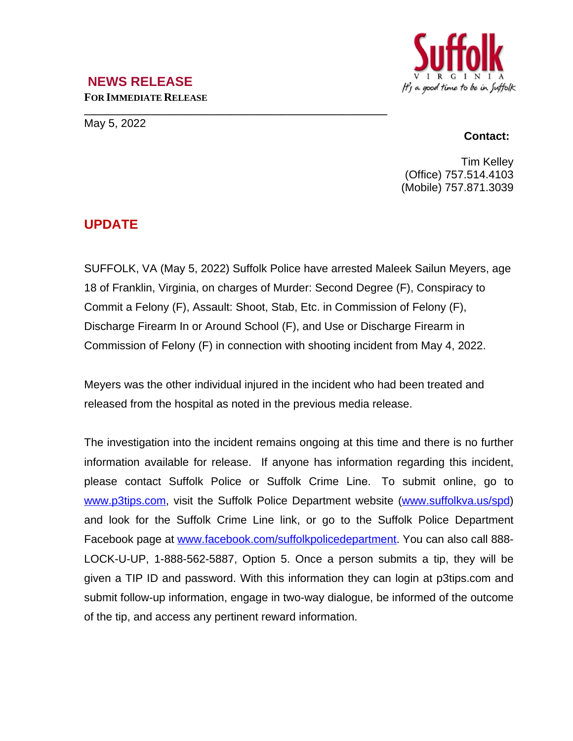# It's a good time to be in Suffolk

### **NEWS RELEASE FOR IMMEDIATE RELEASE**

**\_\_\_\_\_\_\_\_\_\_\_\_\_\_\_\_\_\_\_\_\_\_\_\_\_\_\_\_\_\_\_\_\_\_\_\_\_\_\_\_\_\_\_\_\_\_\_\_\_\_\_\_\_\_** May 5, 2022

#### **Contact:**

Tim Kelley (Office) 757.514.4103 (Mobile) 757.871.3039

## **UPDATE**

SUFFOLK, VA (May 5, 2022) Suffolk Police have arrested Maleek Sailun Meyers, age 18 of Franklin, Virginia, on charges of Murder: Second Degree (F), Conspiracy to Commit a Felony (F), Assault: Shoot, Stab, Etc. in Commission of Felony (F), Discharge Firearm In or Around School (F), and Use or Discharge Firearm in Commission of Felony (F) in connection with shooting incident from May 4, 2022.

Meyers was the other individual injured in the incident who had been treated and released from the hospital as noted in the previous media release.

The investigation into the incident remains ongoing at this time and there is no further information available for release. If anyone has information regarding this incident, please contact Suffolk Police or Suffolk Crime Line. To submit online, go to [www.p3tips.com](http://www.p3tips.com), visit the Suffolk Police Department website ([www.suffolkva.us/spd](http://www.suffolkva.us/spd)) and look for the Suffolk Crime Line link, or go to the Suffolk Police Department Facebook page at [www.facebook.com/suffolkpolicedepartment.](http://www.facebook.com/suffolkpolicedepartment) You can also call 888-LOCK-U-UP, 1-888-562-5887, Option 5. Once a person submits a tip, they will be given a TIP ID and password. With this information they can login at p3tips.com and submit follow-up information, engage in two-way dialogue, be informed of the outcome of the tip, and access any pertinent reward information.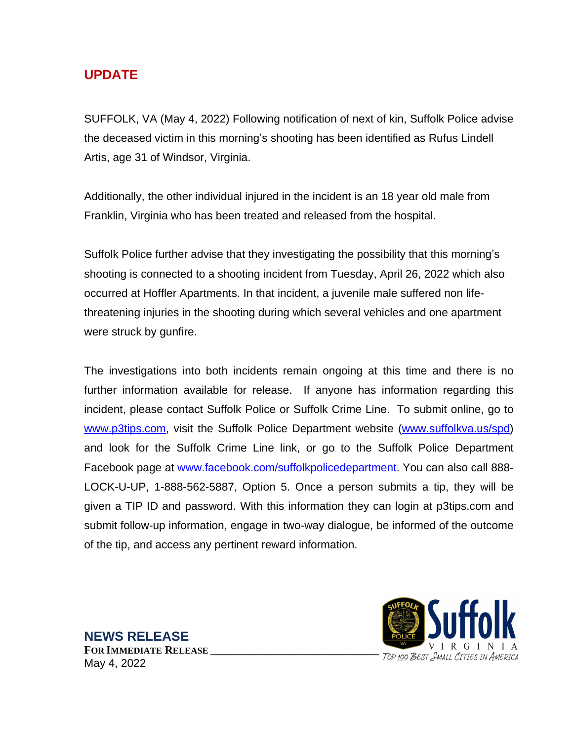## **UPDATE**

SUFFOLK, VA (May 4, 2022) Following notification of next of kin, Suffolk Police advise the deceased victim in this morning's shooting has been identified as Rufus Lindell Artis, age 31 of Windsor, Virginia.

Additionally, the other individual injured in the incident is an 18 year old male from Franklin, Virginia who has been treated and released from the hospital.

Suffolk Police further advise that they investigating the possibility that this morning's shooting is connected to a shooting incident from Tuesday, April 26, 2022 which also occurred at Hoffler Apartments. In that incident, a juvenile male suffered non lifethreatening injuries in the shooting during which several vehicles and one apartment were struck by gunfire.

The investigations into both incidents remain ongoing at this time and there is no further information available for release. If anyone has information regarding this incident, please contact Suffolk Police or Suffolk Crime Line. To submit online, go to [www.p3tips.com](http://www.p3tips.com), visit the Suffolk Police Department website ([www.suffolkva.us/spd](http://www.suffolkva.us/spd)) and look for the Suffolk Crime Line link, or go to the Suffolk Police Department Facebook page at [www.facebook.com/suffolkpolicedepartment.](http://www.facebook.com/suffolkpolicedepartment) You can also call 888-LOCK-U-UP, 1-888-562-5887, Option 5. Once a person submits a tip, they will be given a TIP ID and password. With this information they can login at p3tips.com and submit follow-up information, engage in two-way dialogue, be informed of the outcome of the tip, and access any pertinent reward information.



**NEWS RELEASE FOR IMMEDIATE RELEASE \_\_\_\_\_\_\_\_\_\_\_\_\_\_\_\_\_\_\_\_\_\_\_\_\_\_\_\_\_\_** May 4, 2022